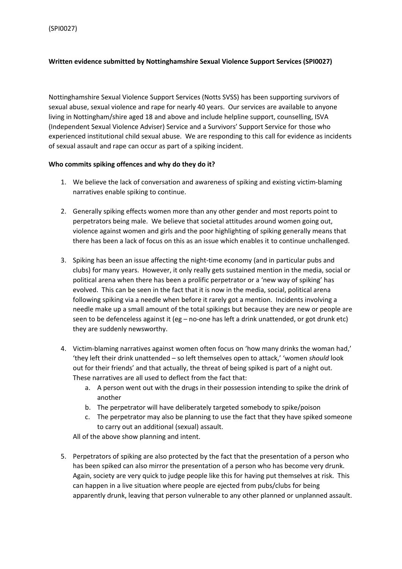# **Written evidence submitted by Nottinghamshire Sexual Violence Support Services (SPI0027)**

Nottinghamshire Sexual Violence Support Services (Notts SVSS) has been supporting survivors of sexual abuse, sexual violence and rape for nearly 40 years. Our services are available to anyone living in Nottingham/shire aged 18 and above and include helpline support, counselling, ISVA (Independent Sexual Violence Adviser) Service and a Survivors' Support Service for those who experienced institutional child sexual abuse. We are responding to this call for evidence as incidents of sexual assault and rape can occur as part of a spiking incident.

### **Who commits spiking offences and why do they do it?**

- 1. We believe the lack of conversation and awareness of spiking and existing victim-blaming narratives enable spiking to continue.
- 2. Generally spiking effects women more than any other gender and most reports point to perpetrators being male. We believe that societal attitudes around women going out, violence against women and girls and the poor highlighting of spiking generally means that there has been a lack of focus on this as an issue which enables it to continue unchallenged.
- 3. Spiking has been an issue affecting the night-time economy (and in particular pubs and clubs) for many years. However, it only really gets sustained mention in the media, social or political arena when there has been a prolific perpetrator or a 'new way of spiking' has evolved. This can be seen in the fact that it is now in the media, social, political arena following spiking via a needle when before it rarely got a mention. Incidents involving a needle make up a small amount of the total spikings but because they are new or people are seen to be defenceless against it (eg – no-one has left a drink unattended, or got drunk etc) they are suddenly newsworthy.
- 4. Victim-blaming narratives against women often focus on 'how many drinks the woman had,' 'they left their drink unattended – so left themselves open to attack,' 'women *should* look out for their friends' and that actually, the threat of being spiked is part of a night out. These narratives are all used to deflect from the fact that:
	- a. A person went out with the drugs in their possession intending to spike the drink of another
	- b. The perpetrator will have deliberately targeted somebody to spike/poison
	- c. The perpetrator may also be planning to use the fact that they have spiked someone to carry out an additional (sexual) assault.

All of the above show planning and intent.

5. Perpetrators of spiking are also protected by the fact that the presentation of a person who has been spiked can also mirror the presentation of a person who has become very drunk. Again, society are very quick to judge people like this for having put themselves at risk. This can happen in a live situation where people are ejected from pubs/clubs for being apparently drunk, leaving that person vulnerable to any other planned or unplanned assault.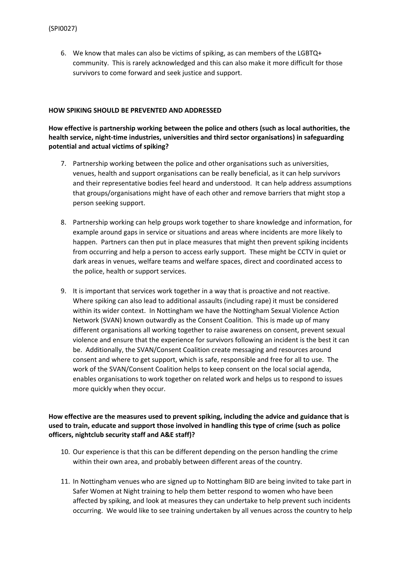6. We know that males can also be victims of spiking, as can members of the LGBTQ+ community. This is rarely acknowledged and this can also make it more difficult for those survivors to come forward and seek justice and support.

#### **HOW SPIKING SHOULD BE PREVENTED AND ADDRESSED**

# **How effective is partnership working between the police and others (such as local authorities, the health service, night-time industries, universities and third sector organisations) in safeguarding potential and actual victims of spiking?**

- 7. Partnership working between the police and other organisations such as universities, venues, health and support organisations can be really beneficial, as it can help survivors and their representative bodies feel heard and understood. It can help address assumptions that groups/organisations might have of each other and remove barriers that might stop a person seeking support.
- 8. Partnership working can help groups work together to share knowledge and information, for example around gaps in service or situations and areas where incidents are more likely to happen. Partners can then put in place measures that might then prevent spiking incidents from occurring and help a person to access early support. These might be CCTV in quiet or dark areas in venues, welfare teams and welfare spaces, direct and coordinated access to the police, health or support services.
- 9. It is important that services work together in a way that is proactive and not reactive. Where spiking can also lead to additional assaults (including rape) it must be considered within its wider context. In Nottingham we have the Nottingham Sexual Violence Action Network (SVAN) known outwardly as the Consent Coalition. This is made up of many different organisations all working together to raise awareness on consent, prevent sexual violence and ensure that the experience for survivors following an incident is the best it can be. Additionally, the SVAN/Consent Coalition create messaging and resources around consent and where to get support, which is safe, responsible and free for all to use. The work of the SVAN/Consent Coalition helps to keep consent on the local social agenda, enables organisations to work together on related work and helps us to respond to issues more quickly when they occur.

# **How effective are the measures used to prevent spiking, including the advice and guidance that is used to train, educate and support those involved in handling this type of crime (such as police officers, nightclub security staff and A&E staff)?**

- 10. Our experience is that this can be different depending on the person handling the crime within their own area, and probably between different areas of the country.
- 11. In Nottingham venues who are signed up to Nottingham BID are being invited to take part in Safer Women at Night training to help them better respond to women who have been affected by spiking, and look at measures they can undertake to help prevent such incidents occurring. We would like to see training undertaken by all venues across the country to help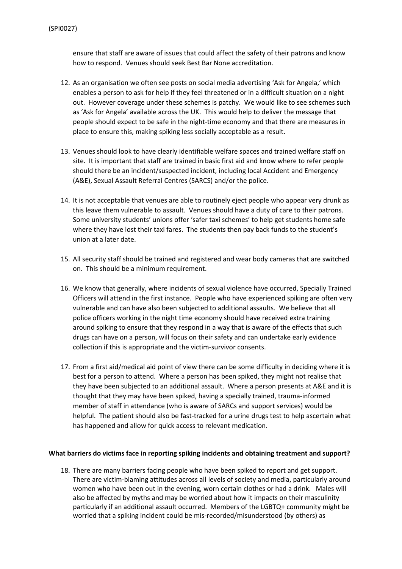ensure that staff are aware of issues that could affect the safety of their patrons and know how to respond. Venues should seek Best Bar None accreditation.

- 12. As an organisation we often see posts on social media advertising 'Ask for Angela,' which enables a person to ask for help if they feel threatened or in a difficult situation on a night out. However coverage under these schemes is patchy. We would like to see schemes such as 'Ask for Angela' available across the UK. This would help to deliver the message that people should expect to be safe in the night-time economy and that there are measures in place to ensure this, making spiking less socially acceptable as a result.
- 13. Venues should look to have clearly identifiable welfare spaces and trained welfare staff on site. It is important that staff are trained in basic first aid and know where to refer people should there be an incident/suspected incident, including local Accident and Emergency (A&E), Sexual Assault Referral Centres (SARCS) and/or the police.
- 14. It is not acceptable that venues are able to routinely eject people who appear very drunk as this leave them vulnerable to assault. Venues should have a duty of care to their patrons. Some university students' unions offer 'safer taxi schemes' to help get students home safe where they have lost their taxi fares. The students then pay back funds to the student's union at a later date.
- 15. All security staff should be trained and registered and wear body cameras that are switched on. This should be a minimum requirement.
- 16. We know that generally, where incidents of sexual violence have occurred, Specially Trained Officers will attend in the first instance. People who have experienced spiking are often very vulnerable and can have also been subjected to additional assaults. We believe that all police officers working in the night time economy should have received extra training around spiking to ensure that they respond in a way that is aware of the effects that such drugs can have on a person, will focus on their safety and can undertake early evidence collection if this is appropriate and the victim-survivor consents.
- 17. From a first aid/medical aid point of view there can be some difficulty in deciding where it is best for a person to attend. Where a person has been spiked, they might not realise that they have been subjected to an additional assault. Where a person presents at A&E and it is thought that they may have been spiked, having a specially trained, trauma-informed member of staff in attendance (who is aware of SARCs and support services) would be helpful. The patient should also be fast-tracked for a urine drugs test to help ascertain what has happened and allow for quick access to relevant medication.

#### **What barriers do victims face in reporting spiking incidents and obtaining treatment and support?**

18. There are many barriers facing people who have been spiked to report and get support. There are victim-blaming attitudes across all levels of society and media, particularly around women who have been out in the evening, worn certain clothes or had a drink. Males will also be affected by myths and may be worried about how it impacts on their masculinity particularly if an additional assault occurred. Members of the LGBTQ+ community might be worried that a spiking incident could be mis-recorded/misunderstood (by others) as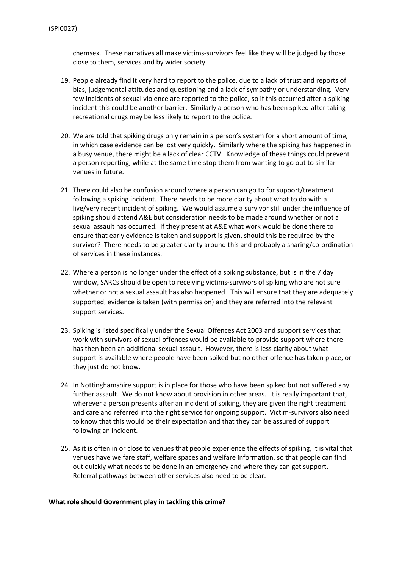chemsex. These narratives all make victims-survivors feel like they will be judged by those close to them, services and by wider society.

- 19. People already find it very hard to report to the police, due to a lack of trust and reports of bias, judgemental attitudes and questioning and a lack of sympathy or understanding. Very few incidents of sexual violence are reported to the police, so if this occurred after a spiking incident this could be another barrier. Similarly a person who has been spiked after taking recreational drugs may be less likely to report to the police.
- 20. We are told that spiking drugs only remain in a person's system for a short amount of time, in which case evidence can be lost very quickly. Similarly where the spiking has happened in a busy venue, there might be a lack of clear CCTV. Knowledge of these things could prevent a person reporting, while at the same time stop them from wanting to go out to similar venues in future.
- 21. There could also be confusion around where a person can go to for support/treatment following a spiking incident. There needs to be more clarity about what to do with a live/very recent incident of spiking. We would assume a survivor still under the influence of spiking should attend A&E but consideration needs to be made around whether or not a sexual assault has occurred. If they present at A&E what work would be done there to ensure that early evidence is taken and support is given, should this be required by the survivor? There needs to be greater clarity around this and probably a sharing/co-ordination of services in these instances.
- 22. Where a person is no longer under the effect of a spiking substance, but is in the 7 day window, SARCs should be open to receiving victims-survivors of spiking who are not sure whether or not a sexual assault has also happened. This will ensure that they are adequately supported, evidence is taken (with permission) and they are referred into the relevant support services.
- 23. Spiking is listed specifically under the Sexual Offences Act 2003 and support services that work with survivors of sexual offences would be available to provide support where there has then been an additional sexual assault. However, there is less clarity about what support is available where people have been spiked but no other offence has taken place, or they just do not know.
- 24. In Nottinghamshire support is in place for those who have been spiked but not suffered any further assault. We do not know about provision in other areas. It is really important that, wherever a person presents after an incident of spiking, they are given the right treatment and care and referred into the right service for ongoing support. Victim-survivors also need to know that this would be their expectation and that they can be assured of support following an incident.
- 25. As it is often in or close to venues that people experience the effects of spiking, it is vital that venues have welfare staff, welfare spaces and welfare information, so that people can find out quickly what needs to be done in an emergency and where they can get support. Referral pathways between other services also need to be clear.

#### **What role should Government play in tackling this crime?**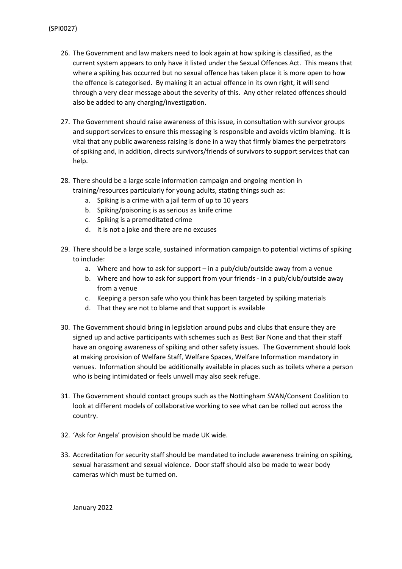- 26. The Government and law makers need to look again at how spiking is classified, as the current system appears to only have it listed under the Sexual Offences Act. This means that where a spiking has occurred but no sexual offence has taken place it is more open to how the offence is categorised. By making it an actual offence in its own right, it will send through a very clear message about the severity of this. Any other related offences should also be added to any charging/investigation.
- 27. The Government should raise awareness of this issue, in consultation with survivor groups and support services to ensure this messaging is responsible and avoids victim blaming. It is vital that any public awareness raising is done in a way that firmly blames the perpetrators of spiking and, in addition, directs survivors/friends of survivors to support services that can help.
- 28. There should be a large scale information campaign and ongoing mention in training/resources particularly for young adults, stating things such as:
	- a. Spiking is a crime with a jail term of up to 10 years
	- b. Spiking/poisoning is as serious as knife crime
	- c. Spiking is a premeditated crime
	- d. It is not a joke and there are no excuses
- 29. There should be a large scale, sustained information campaign to potential victims of spiking to include:
	- a. Where and how to ask for support in a pub/club/outside away from a venue
	- b. Where and how to ask for support from your friends in a pub/club/outside away from a venue
	- c. Keeping a person safe who you think has been targeted by spiking materials
	- d. That they are not to blame and that support is available
- 30. The Government should bring in legislation around pubs and clubs that ensure they are signed up and active participants with schemes such as Best Bar None and that their staff have an ongoing awareness of spiking and other safety issues. The Government should look at making provision of Welfare Staff, Welfare Spaces, Welfare Information mandatory in venues. Information should be additionally available in places such as toilets where a person who is being intimidated or feels unwell may also seek refuge.
- 31. The Government should contact groups such as the Nottingham SVAN/Consent Coalition to look at different models of collaborative working to see what can be rolled out across the country.
- 32. 'Ask for Angela' provision should be made UK wide.
- 33. Accreditation for security staff should be mandated to include awareness training on spiking, sexual harassment and sexual violence. Door staff should also be made to wear body cameras which must be turned on.

January 2022